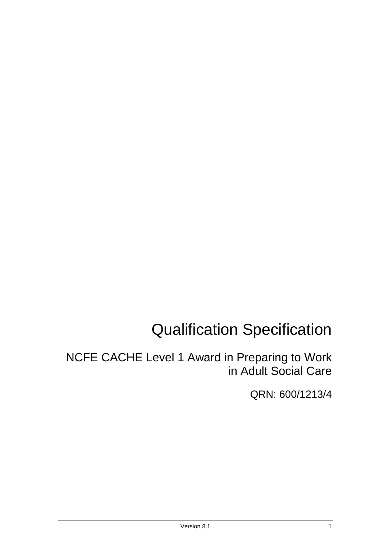# Qualification Specification

NCFE CACHE Level 1 Award in Preparing to Work in Adult Social Care

QRN: 600/1213/4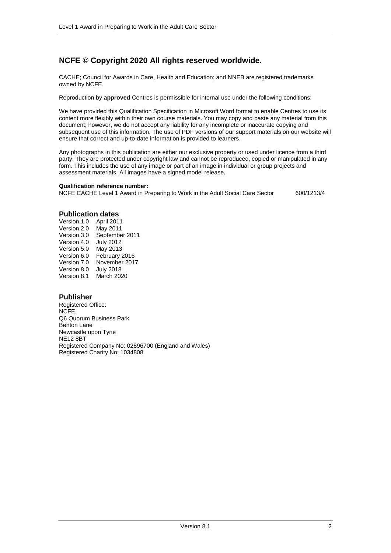## **NCFE © Copyright 2020 All rights reserved worldwide.**

CACHE; Council for Awards in Care, Health and Education; and NNEB are registered trademarks owned by NCFE.

Reproduction by **approved** Centres is permissible for internal use under the following conditions:

We have provided this Qualification Specification in Microsoft Word format to enable Centres to use its content more flexibly within their own course materials. You may copy and paste any material from this document; however, we do not accept any liability for any incomplete or inaccurate copying and subsequent use of this information. The use of PDF versions of our support materials on our website will ensure that correct and up-to-date information is provided to learners.

Any photographs in this publication are either our exclusive property or used under licence from a third party. They are protected under copyright law and cannot be reproduced, copied or manipulated in any form. This includes the use of any image or part of an image in individual or group projects and assessment materials. All images have a signed model release.

#### **Qualification reference number:**

NCFE CACHE Level 1 Award in Preparing to Work in the Adult Social Care Sector 600/1213/4

#### **Publication dates**

Version 1.0 April 2011 Version 2.0 Version 3.0 September 2011 Version 4.0 July 2012 Version 5.0 May 2013 Version 6.0 February 2016 Version 7.0 November 2017 Version 8.0 July 2018 Version 8.1 March 2020

#### **Publisher**

Registered Office: NCFE Q6 Quorum Business Park Benton Lane Newcastle upon Tyne NE12 8BT Registered Company No: 02896700 (England and Wales) Registered Charity No: 1034808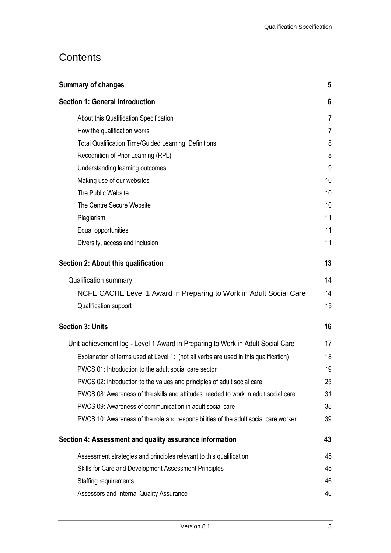# **Contents**

| <b>Summary of changes</b>                                                            | 5              |
|--------------------------------------------------------------------------------------|----------------|
| <b>Section 1: General introduction</b>                                               | 6              |
| About this Qualification Specification                                               | $\overline{7}$ |
| How the qualification works                                                          | $\overline{7}$ |
| <b>Total Qualification Time/Guided Learning: Definitions</b>                         | 8              |
| Recognition of Prior Learning (RPL)                                                  | 8              |
| Understanding learning outcomes                                                      | 9              |
| Making use of our websites                                                           | 10             |
| The Public Website                                                                   | 10             |
| The Centre Secure Website                                                            | 10             |
| Plagiarism                                                                           | 11             |
| Equal opportunities                                                                  | 11             |
| Diversity, access and inclusion                                                      | 11             |
| Section 2: About this qualification                                                  | 13             |
| Qualification summary                                                                | 14             |
| NCFE CACHE Level 1 Award in Preparing to Work in Adult Social Care                   | 14             |
| Qualification support                                                                | 15             |
| <b>Section 3: Units</b>                                                              | 16             |
| Unit achievement log - Level 1 Award in Preparing to Work in Adult Social Care       | 17             |
| Explanation of terms used at Level 1: (not all verbs are used in this qualification) | 18             |
| PWCS 01: Introduction to the adult social care sector                                | 19             |
| PWCS 02: Introduction to the values and principles of adult social care              | 25             |
| PWCS 08: Awareness of the skills and attitudes needed to work in adult social care   | 31             |
| PWCS 09: Awareness of communication in adult social care                             | 35             |
| PWCS 10: Awareness of the role and responsibilities of the adult social care worker  | 39             |
| Section 4: Assessment and quality assurance information                              | 43             |
| Assessment strategies and principles relevant to this qualification                  | 45             |
| Skills for Care and Development Assessment Principles                                | 45             |
| Staffing requirements                                                                | 46             |
| Assessors and Internal Quality Assurance                                             | 46             |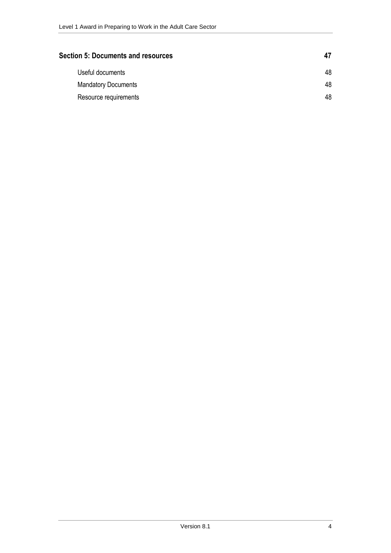| <b>Section 5: Documents and resources</b> |    |
|-------------------------------------------|----|
| Useful documents                          | 48 |
| <b>Mandatory Documents</b>                | 48 |
| Resource requirements                     | 48 |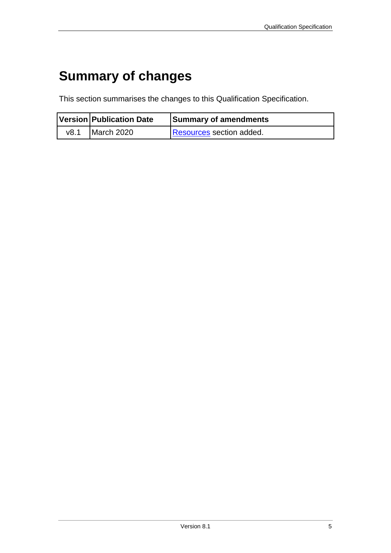# <span id="page-4-0"></span>**Summary of changes**

This section summarises the changes to this Qualification Specification.

|      | <b>Version Publication Date</b> | Summary of amendments           |
|------|---------------------------------|---------------------------------|
| v8.1 | March 2020                      | <b>Resources section added.</b> |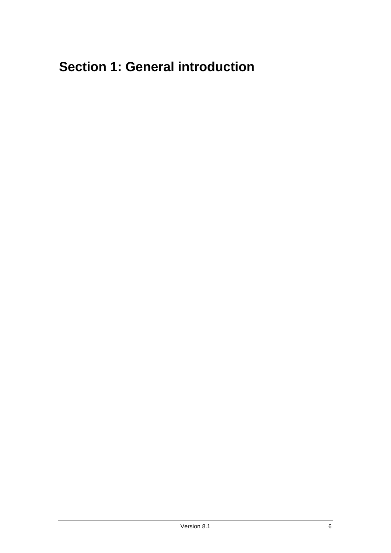# <span id="page-5-0"></span>**Section 1: General introduction**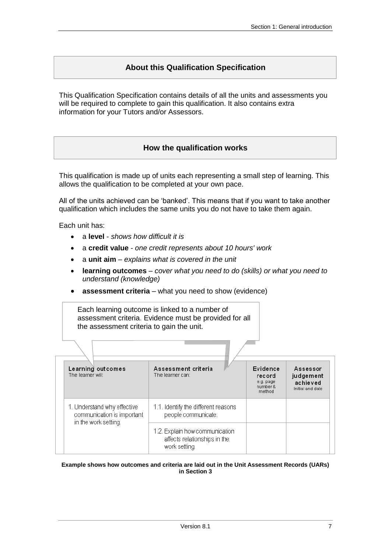## **About this Qualification Specification**

<span id="page-6-0"></span>This Qualification Specification contains details of all the units and assessments you will be required to complete to gain this qualification. It also contains extra information for your Tutors and/or Assessors.

## **How the qualification works**

<span id="page-6-1"></span>This qualification is made up of units each representing a small step of learning. This allows the qualification to be completed at your own pace.

All of the units achieved can be 'banked'. This means that if you want to take another qualification which includes the same units you do not have to take them again.

Each unit has:

- a **level** *shows how difficult it is*
- a **credit value** *one credit represents about 10 hours' work*
- a **unit aim** *explains what is covered in the unit*
- **learning outcomes** *cover what you need to do (skills) or what you need to understand (knowledge)*
- **assessment criteria** what you need to show (evidence)

Each learning outcome is linked to a number of assessment criteria. Evidence must be provided for all the assessment criteria to gain the unit.

| Learning outcomes<br>The learner will:                                            | Assessment criteria<br>The learner can:                                         | Evidence<br>record<br>e.g. page<br>number &<br>method | Assessor<br>judgement<br>achieved<br>Initial and date |
|-----------------------------------------------------------------------------------|---------------------------------------------------------------------------------|-------------------------------------------------------|-------------------------------------------------------|
| 1. Understand why effective<br>communication is important<br>in the work setting. | 1.1. Identify the different reasons<br>people communicate.                      |                                                       |                                                       |
|                                                                                   | 1.2. Explain how communication<br>affects relationships in the<br>work setting. |                                                       |                                                       |

#### **Example shows how outcomes and criteria are laid out in the Unit Assessment Records (UARs) in Section 3**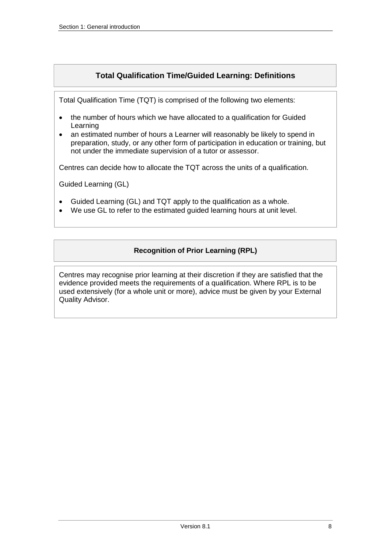## **Total Qualification Time/Guided Learning: Definitions**

<span id="page-7-0"></span>Total Qualification Time (TQT) is comprised of the following two elements:

- the number of hours which we have allocated to a qualification for Guided Learning
- an estimated number of hours a Learner will reasonably be likely to spend in preparation, study, or any other form of participation in education or training, but not under the immediate supervision of a tutor or assessor.

Centres can decide how to allocate the TQT across the units of a qualification.

Guided Learning (GL)

- Guided Learning (GL) and TQT apply to the qualification as a whole.
- <span id="page-7-1"></span>We use GL to refer to the estimated guided learning hours at unit level.

## **Recognition of Prior Learning (RPL)**

Centres may recognise prior learning at their discretion if they are satisfied that the evidence provided meets the requirements of a qualification. Where RPL is to be used extensively (for a whole unit or more), advice must be given by your External Quality Advisor.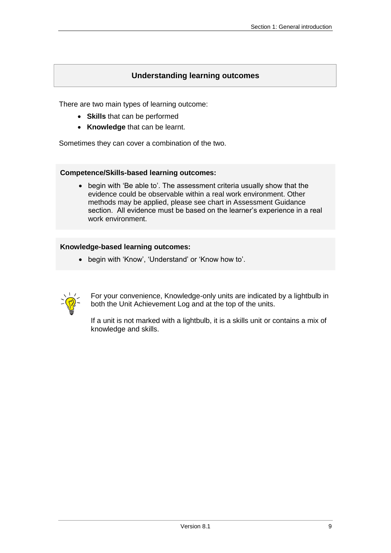## **Understanding learning outcomes**

<span id="page-8-0"></span>There are two main types of learning outcome:

- **Skills** that can be performed
- **Knowledge** that can be learnt.

Sometimes they can cover a combination of the two.

#### **Competence/Skills-based learning outcomes:**

• begin with 'Be able to'. The assessment criteria usually show that the evidence could be observable within a real work environment. Other methods may be applied, please see chart in Assessment Guidance section. All evidence must be based on the learner's experience in a real work environment.

#### **Knowledge-based learning outcomes:**

begin with 'Know', 'Understand' or 'Know how to'.



For your convenience, Knowledge-only units are indicated by a lightbulb in both the Unit Achievement Log and at the top of the units.

If a unit is not marked with a lightbulb, it is a skills unit or contains a mix of knowledge and skills.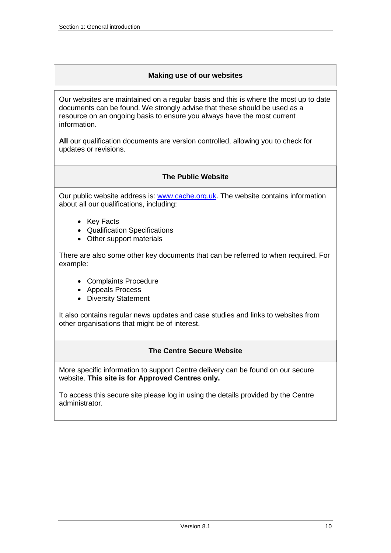### **Making use of our websites**

<span id="page-9-0"></span>Our websites are maintained on a regular basis and this is where the most up to date documents can be found. We strongly advise that these should be used as a resource on an ongoing basis to ensure you always have the most current information.

<span id="page-9-1"></span>**All** our qualification documents are version controlled, allowing you to check for updates or revisions.

### **The Public Website**

Our public website address is: [www.cache.org.uk.](http://www.cache.org.uk/) The website contains information about all our qualifications, including:

- Key Facts
- Qualification Specifications
- Other support materials

There are also some other key documents that can be referred to when required. For example:

- Complaints Procedure
- Appeals Process
- Diversity Statement

<span id="page-9-2"></span>It also contains regular news updates and case studies and links to websites from other organisations that might be of interest.

## **The Centre Secure Website**

More specific information to support Centre delivery can be found on our secure website. **This site is for Approved Centres only.**

To access this secure site please log in using the details provided by the Centre administrator.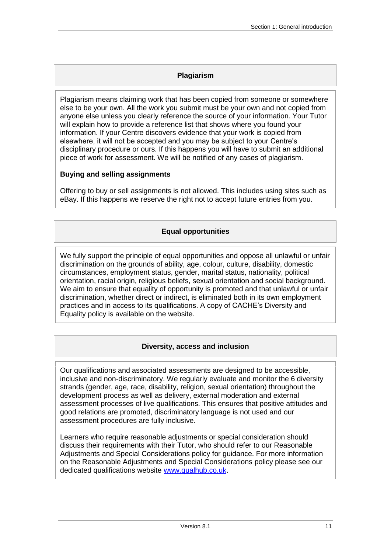## **Plagiarism**

<span id="page-10-0"></span>Plagiarism means claiming work that has been copied from someone or somewhere else to be your own. All the work you submit must be your own and not copied from anyone else unless you clearly reference the source of your information. Your Tutor will explain how to provide a reference list that shows where you found your information. If your Centre discovers evidence that your work is copied from elsewhere, it will not be accepted and you may be subject to your Centre's disciplinary procedure or ours. If this happens you will have to submit an additional piece of work for assessment. We will be notified of any cases of plagiarism.

## **Buying and selling assignments**

<span id="page-10-1"></span>Offering to buy or sell assignments is not allowed. This includes using sites such as eBay. If this happens we reserve the right not to accept future entries from you.

## **Equal opportunities**

We fully support the principle of equal opportunities and oppose all unlawful or unfair discrimination on the grounds of ability, age, colour, culture, disability, domestic circumstances, employment status, gender, marital status, nationality, political orientation, racial origin, religious beliefs, sexual orientation and social background. We aim to ensure that equality of opportunity is promoted and that unlawful or unfair discrimination, whether direct or indirect, is eliminated both in its own employment practices and in access to its qualifications. A copy of CACHE's Diversity and Equality policy is available on the website.

## **Diversity, access and inclusion**

<span id="page-10-2"></span>Our qualifications and associated assessments are designed to be accessible, inclusive and non-discriminatory. We regularly evaluate and monitor the 6 diversity strands (gender, age, race, disability, religion, sexual orientation) throughout the development process as well as delivery, external moderation and external assessment processes of live qualifications. This ensures that positive attitudes and good relations are promoted, discriminatory language is not used and our assessment procedures are fully inclusive.

Learners who require reasonable adjustments or special consideration should discuss their requirements with their Tutor, who should refer to our Reasonable Adjustments and Special Considerations policy for guidance. For more information on the Reasonable Adjustments and Special Considerations policy please see our dedicated qualifications website [www.qualhub.co.uk.](https://www.qualhub.co.uk/)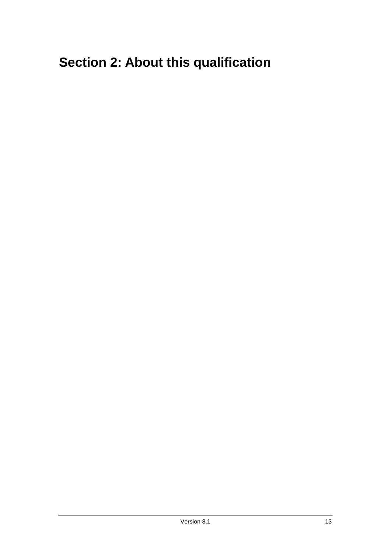# <span id="page-12-0"></span>**Section 2: About this qualification**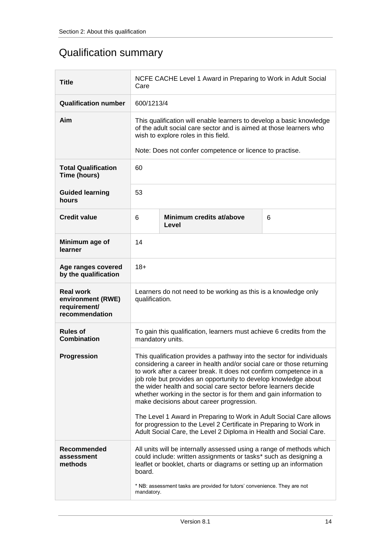# <span id="page-13-0"></span>Qualification summary

<span id="page-13-1"></span>

| <b>Title</b>                                                            | NCFE CACHE Level 1 Award in Preparing to Work in Adult Social<br>Care                                                                                                                                                                                                                                                                                                                                                                                                                                                                                                                                                                                                                     |                                                          |  |  |  |
|-------------------------------------------------------------------------|-------------------------------------------------------------------------------------------------------------------------------------------------------------------------------------------------------------------------------------------------------------------------------------------------------------------------------------------------------------------------------------------------------------------------------------------------------------------------------------------------------------------------------------------------------------------------------------------------------------------------------------------------------------------------------------------|----------------------------------------------------------|--|--|--|
| <b>Qualification number</b>                                             | 600/1213/4                                                                                                                                                                                                                                                                                                                                                                                                                                                                                                                                                                                                                                                                                |                                                          |  |  |  |
| Aim                                                                     | This qualification will enable learners to develop a basic knowledge<br>of the adult social care sector and is aimed at those learners who<br>wish to explore roles in this field.                                                                                                                                                                                                                                                                                                                                                                                                                                                                                                        |                                                          |  |  |  |
|                                                                         |                                                                                                                                                                                                                                                                                                                                                                                                                                                                                                                                                                                                                                                                                           | Note: Does not confer competence or licence to practise. |  |  |  |
| <b>Total Qualification</b><br>Time (hours)                              | 60                                                                                                                                                                                                                                                                                                                                                                                                                                                                                                                                                                                                                                                                                        |                                                          |  |  |  |
| <b>Guided learning</b><br>hours                                         | 53                                                                                                                                                                                                                                                                                                                                                                                                                                                                                                                                                                                                                                                                                        |                                                          |  |  |  |
| <b>Credit value</b>                                                     | Minimum credits at/above<br>6<br>6<br>Level                                                                                                                                                                                                                                                                                                                                                                                                                                                                                                                                                                                                                                               |                                                          |  |  |  |
| Minimum age of<br>learner                                               | 14                                                                                                                                                                                                                                                                                                                                                                                                                                                                                                                                                                                                                                                                                        |                                                          |  |  |  |
| Age ranges covered<br>by the qualification                              | $18+$                                                                                                                                                                                                                                                                                                                                                                                                                                                                                                                                                                                                                                                                                     |                                                          |  |  |  |
| <b>Real work</b><br>environment (RWE)<br>requirement/<br>recommendation | Learners do not need to be working as this is a knowledge only<br>qualification.                                                                                                                                                                                                                                                                                                                                                                                                                                                                                                                                                                                                          |                                                          |  |  |  |
| <b>Rules of</b><br><b>Combination</b>                                   | To gain this qualification, learners must achieve 6 credits from the<br>mandatory units.                                                                                                                                                                                                                                                                                                                                                                                                                                                                                                                                                                                                  |                                                          |  |  |  |
| Progression                                                             | This qualification provides a pathway into the sector for individuals<br>considering a career in health and/or social care or those returning<br>to work after a career break. It does not confirm competence in a<br>job role but provides an opportunity to develop knowledge about<br>the wider health and social care sector before learners decide<br>whether working in the sector is for them and gain information to<br>make decisions about career progression.<br>The Level 1 Award in Preparing to Work in Adult Social Care allows<br>for progression to the Level 2 Certificate in Preparing to Work in<br>Adult Social Care, the Level 2 Diploma in Health and Social Care. |                                                          |  |  |  |
| Recommended<br>assessment<br>methods                                    | All units will be internally assessed using a range of methods which<br>could include: written assignments or tasks* such as designing a<br>leaflet or booklet, charts or diagrams or setting up an information<br>board.<br>* NB: assessment tasks are provided for tutors' convenience. They are not<br>mandatory.                                                                                                                                                                                                                                                                                                                                                                      |                                                          |  |  |  |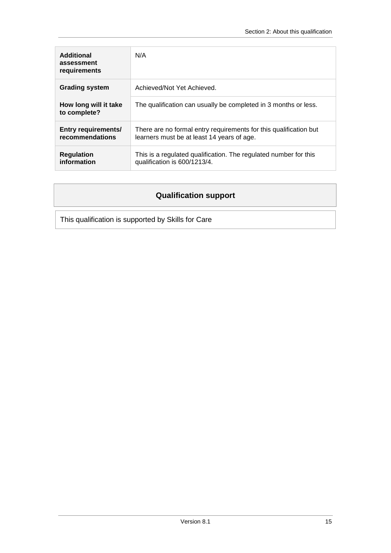| Additional<br>assessment<br>requirements      | N/A                                                                                                             |
|-----------------------------------------------|-----------------------------------------------------------------------------------------------------------------|
| <b>Grading system</b>                         | Achieved/Not Yet Achieved.                                                                                      |
| How long will it take<br>to complete?         | The qualification can usually be completed in 3 months or less.                                                 |
| <b>Entry requirements/</b><br>recommendations | There are no formal entry requirements for this qualification but<br>learners must be at least 14 years of age. |
| <b>Regulation</b><br>information              | This is a regulated qualification. The regulated number for this<br>qualification is 600/1213/4.                |

## **Qualification support**

<span id="page-14-0"></span>This qualification is supported by Skills for Care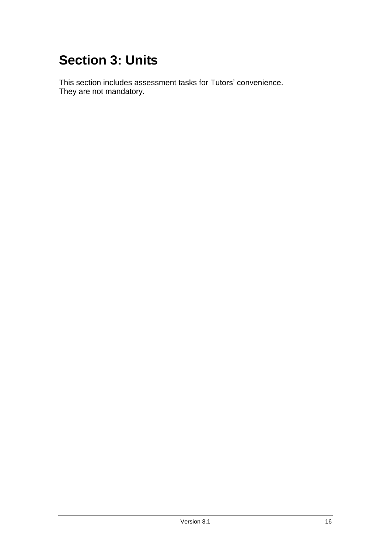# <span id="page-15-0"></span>**Section 3: Units**

This section includes assessment tasks for Tutors' convenience. They are not mandatory.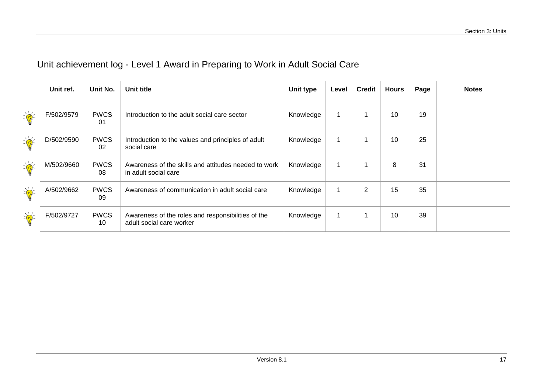# Unit achievement log - Level 1 Award in Preparing to Work in Adult Social Care

<span id="page-16-0"></span>

|                                                         | Unit ref.  | Unit No.          | Unit title                                                                     | <b>Unit type</b> | Level | <b>Credit</b> | <b>Hours</b> | Page | <b>Notes</b> |
|---------------------------------------------------------|------------|-------------------|--------------------------------------------------------------------------------|------------------|-------|---------------|--------------|------|--------------|
| $\sum_{i=1}^{n}$                                        | F/502/9579 | <b>PWCS</b><br>01 | Introduction to the adult social care sector                                   | Knowledge        |       |               | 10           | 19   |              |
| $\sum_{i=1}^{n}$                                        | D/502/9590 | <b>PWCS</b><br>02 | Introduction to the values and principles of adult<br>social care              | Knowledge        |       |               | 10           | 25   |              |
| $\sum_{i=1}^{n} \frac{1}{i} \sum_{j=1}^{n} \frac{1}{j}$ | M/502/9660 | <b>PWCS</b><br>08 | Awareness of the skills and attitudes needed to work<br>in adult social care   | Knowledge        | -1    |               | 8            | 31   |              |
| $\frac{1}{\sqrt{2}}$                                    | A/502/9662 | <b>PWCS</b><br>09 | Awareness of communication in adult social care                                | Knowledge        | 1     | 2             | 15           | 35   |              |
| $\frac{1}{\sqrt{2}}$                                    | F/502/9727 | <b>PWCS</b><br>10 | Awareness of the roles and responsibilities of the<br>adult social care worker | Knowledge        |       |               | 10           | 39   |              |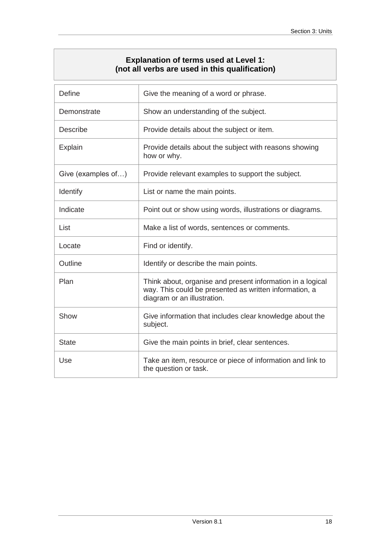## **Explanation of terms used at Level 1: (not all verbs are used in this qualification)**

<span id="page-17-0"></span>

| <b>Define</b>      | Give the meaning of a word or phrase.                                                                                                               |  |
|--------------------|-----------------------------------------------------------------------------------------------------------------------------------------------------|--|
| Demonstrate        | Show an understanding of the subject.                                                                                                               |  |
| <b>Describe</b>    | Provide details about the subject or item.                                                                                                          |  |
| Explain            | Provide details about the subject with reasons showing<br>how or why.                                                                               |  |
| Give (examples of) | Provide relevant examples to support the subject.                                                                                                   |  |
| <b>Identify</b>    | List or name the main points.                                                                                                                       |  |
| Indicate           | Point out or show using words, illustrations or diagrams.                                                                                           |  |
| List               | Make a list of words, sentences or comments.                                                                                                        |  |
| Locate             | Find or identify.                                                                                                                                   |  |
| Outline            | Identify or describe the main points.                                                                                                               |  |
| Plan               | Think about, organise and present information in a logical<br>way. This could be presented as written information, a<br>diagram or an illustration. |  |
| Show               | Give information that includes clear knowledge about the<br>subject.                                                                                |  |
| <b>State</b>       | Give the main points in brief, clear sentences.                                                                                                     |  |
| Use                | Take an item, resource or piece of information and link to<br>the question or task.                                                                 |  |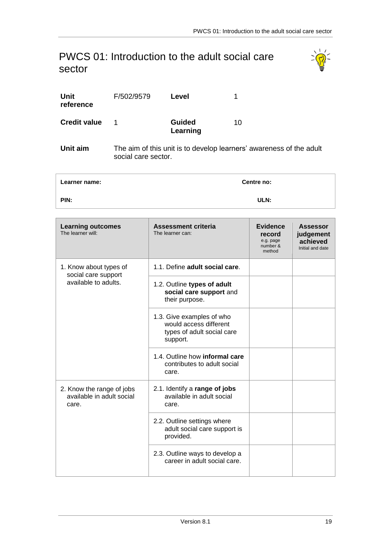## <span id="page-18-1"></span><span id="page-18-0"></span>PWCS 01: Introduction to the adult social care sector



| Unit<br>reference   | F/502/9579 | Level                     |    |
|---------------------|------------|---------------------------|----|
| <b>Credit value</b> | 1          | <b>Guided</b><br>Learning | 10 |

**Unit aim** The aim of this unit is to develop learners' awareness of the adult social care sector.

| Learner name: | <b>Centre no:</b> |  |
|---------------|-------------------|--|
| PIN:          | ULN:              |  |

| <b>Learning outcomes</b><br>The learner will:                   | <b>Assessment criteria</b><br>The learner can:                                                | <b>Evidence</b><br>record<br>e.g. page<br>number &<br>method | <b>Assessor</b><br>judgement<br>achieved<br>Initial and date |
|-----------------------------------------------------------------|-----------------------------------------------------------------------------------------------|--------------------------------------------------------------|--------------------------------------------------------------|
| 1. Know about types of<br>social care support                   | 1.1. Define adult social care.                                                                |                                                              |                                                              |
| available to adults.                                            | 1.2. Outline types of adult<br>social care support and<br>their purpose.                      |                                                              |                                                              |
|                                                                 | 1.3. Give examples of who<br>would access different<br>types of adult social care<br>support. |                                                              |                                                              |
|                                                                 | 1.4. Outline how informal care<br>contributes to adult social<br>care.                        |                                                              |                                                              |
| 2. Know the range of jobs<br>available in adult social<br>care. | 2.1. Identify a range of jobs<br>available in adult social<br>care.                           |                                                              |                                                              |
|                                                                 | 2.2. Outline settings where<br>adult social care support is<br>provided.                      |                                                              |                                                              |
|                                                                 | 2.3. Outline ways to develop a<br>career in adult social care.                                |                                                              |                                                              |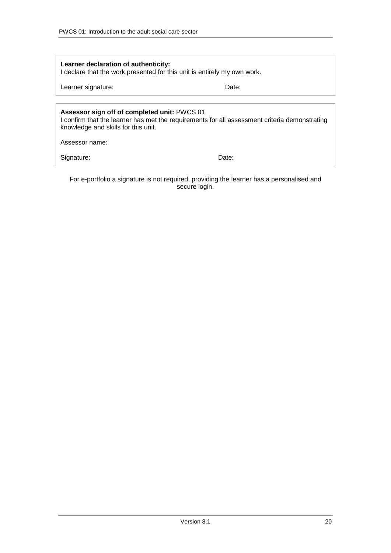| Learner declaration of authenticity:<br>I declare that the work presented for this unit is entirely my own work.                                                                     |       |  |  |  |
|--------------------------------------------------------------------------------------------------------------------------------------------------------------------------------------|-------|--|--|--|
| Learner signature:<br>Date:                                                                                                                                                          |       |  |  |  |
|                                                                                                                                                                                      |       |  |  |  |
| Assessor sign off of completed unit: PWCS 01<br>I confirm that the learner has met the requirements for all assessment criteria demonstrating<br>knowledge and skills for this unit. |       |  |  |  |
| Assessor name:                                                                                                                                                                       |       |  |  |  |
| Signature:                                                                                                                                                                           | Date: |  |  |  |

For e-portfolio a signature is not required, providing the learner has a personalised and secure login.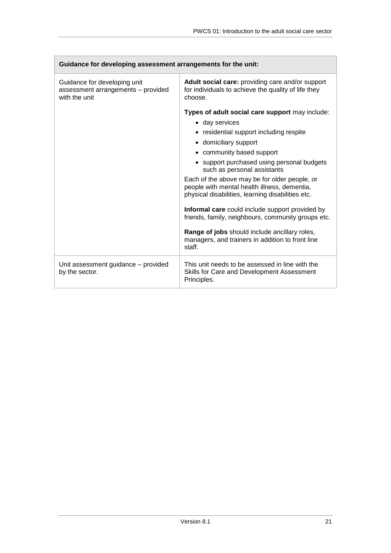| Guidance for developing assessment arrangements for the unit:                       |                                                                                                                                                    |  |
|-------------------------------------------------------------------------------------|----------------------------------------------------------------------------------------------------------------------------------------------------|--|
| Guidance for developing unit<br>assessment arrangements - provided<br>with the unit | Adult social care: providing care and/or support<br>for individuals to achieve the quality of life they<br>choose.                                 |  |
|                                                                                     | Types of adult social care support may include:                                                                                                    |  |
|                                                                                     | • day services                                                                                                                                     |  |
|                                                                                     | • residential support including respite                                                                                                            |  |
|                                                                                     | • domiciliary support                                                                                                                              |  |
|                                                                                     | • community based support                                                                                                                          |  |
|                                                                                     | • support purchased using personal budgets<br>such as personal assistants                                                                          |  |
|                                                                                     | Each of the above may be for older people, or<br>people with mental health illness, dementia,<br>physical disabilities, learning disabilities etc. |  |
|                                                                                     | Informal care could include support provided by<br>friends, family, neighbours, community groups etc.                                              |  |
|                                                                                     | Range of jobs should include ancillary roles,<br>managers, and trainers in addition to front line<br>staff.                                        |  |
| Unit assessment guidance - provided<br>by the sector.                               | This unit needs to be assessed in line with the<br>Skills for Care and Development Assessment<br>Principles.                                       |  |

 $\mathcal{L}_{\mathcal{A}}$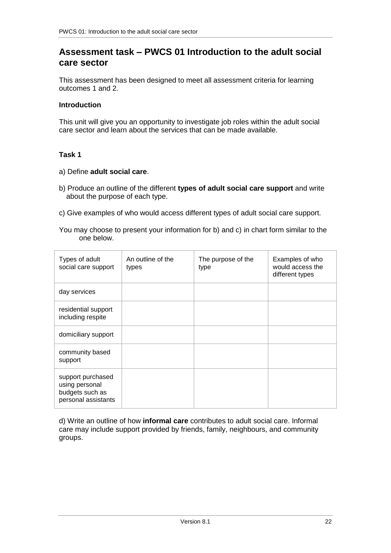## **Assessment task – PWCS 01 Introduction to the adult social care sector**

This assessment has been designed to meet all assessment criteria for learning outcomes 1 and 2.

### **Introduction**

This unit will give you an opportunity to investigate job roles within the adult social care sector and learn about the services that can be made available.

### **Task 1**

- a) Define **adult social care**.
- b) Produce an outline of the different **types of adult social care support** and write about the purpose of each type.
- c) Give examples of who would access different types of adult social care support.
- You may choose to present your information for b) and c) in chart form similar to the one below.

| Types of adult<br>social care support                                         | An outline of the<br>types | The purpose of the<br>type | Examples of who<br>would access the<br>different types |
|-------------------------------------------------------------------------------|----------------------------|----------------------------|--------------------------------------------------------|
| day services                                                                  |                            |                            |                                                        |
| residential support<br>including respite                                      |                            |                            |                                                        |
| domiciliary support                                                           |                            |                            |                                                        |
| community based<br>support                                                    |                            |                            |                                                        |
| support purchased<br>using personal<br>budgets such as<br>personal assistants |                            |                            |                                                        |

d) Write an outline of how **informal care** contributes to adult social care. Informal care may include support provided by friends, family, neighbours, and community groups.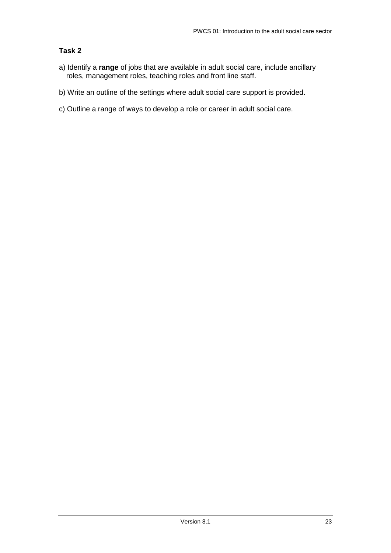## **Task 2**

- a) Identify a **range** of jobs that are available in adult social care, include ancillary roles, management roles, teaching roles and front line staff.
- b) Write an outline of the settings where adult social care support is provided.
- c) Outline a range of ways to develop a role or career in adult social care.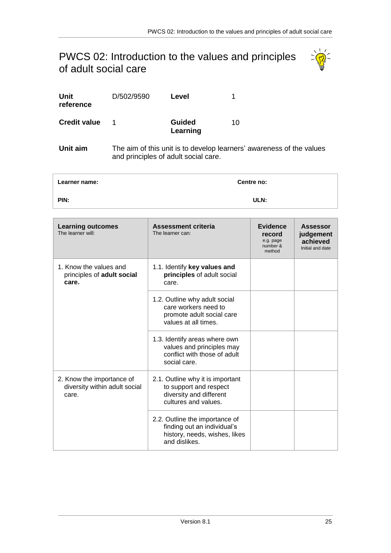## <span id="page-24-1"></span><span id="page-24-0"></span>PWCS 02: Introduction to the values and principles of adult social care



| Unit<br>reference   | D/502/9590 | Level                     |                                                                      |
|---------------------|------------|---------------------------|----------------------------------------------------------------------|
| <b>Credit value</b> |            | <b>Guided</b><br>Learning | 10                                                                   |
| Unit aim            |            |                           | The aim of this unit is to develop learners' awareness of the values |

and principles of adult social care.

| Learner name: | Centre no: |
|---------------|------------|
| PIN:          | ULN:       |

| <b>Learning outcomes</b><br>The learner will:                       | Assessment criteria<br>The learner can:                                                                         | Evidence<br>record<br>e.g. page<br>number &<br>method | <b>Assessor</b><br>judgement<br>achieved<br>Initial and date |
|---------------------------------------------------------------------|-----------------------------------------------------------------------------------------------------------------|-------------------------------------------------------|--------------------------------------------------------------|
| 1. Know the values and<br>principles of adult social<br>care.       | 1.1. Identify key values and<br>principles of adult social<br>care.                                             |                                                       |                                                              |
|                                                                     | 1.2. Outline why adult social<br>care workers need to<br>promote adult social care<br>values at all times.      |                                                       |                                                              |
|                                                                     | 1.3. Identify areas where own<br>values and principles may<br>conflict with those of adult<br>social care.      |                                                       |                                                              |
| 2. Know the importance of<br>diversity within adult social<br>care. | 2.1. Outline why it is important<br>to support and respect<br>diversity and different<br>cultures and values.   |                                                       |                                                              |
|                                                                     | 2.2. Outline the importance of<br>finding out an individual's<br>history, needs, wishes, likes<br>and dislikes. |                                                       |                                                              |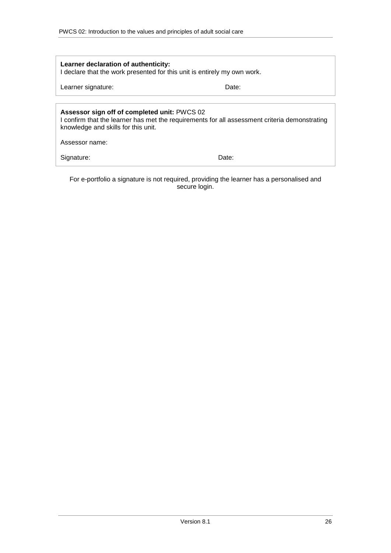| Learner declaration of authenticity:<br>I declare that the work presented for this unit is entirely my own work.                                                                     |       |  |
|--------------------------------------------------------------------------------------------------------------------------------------------------------------------------------------|-------|--|
| Learner signature:<br>Date:                                                                                                                                                          |       |  |
|                                                                                                                                                                                      |       |  |
| Assessor sign off of completed unit: PWCS 02<br>I confirm that the learner has met the requirements for all assessment criteria demonstrating<br>knowledge and skills for this unit. |       |  |
| Assessor name:                                                                                                                                                                       |       |  |
| Signature:                                                                                                                                                                           | Date: |  |

For e-portfolio a signature is not required, providing the learner has a personalised and secure login.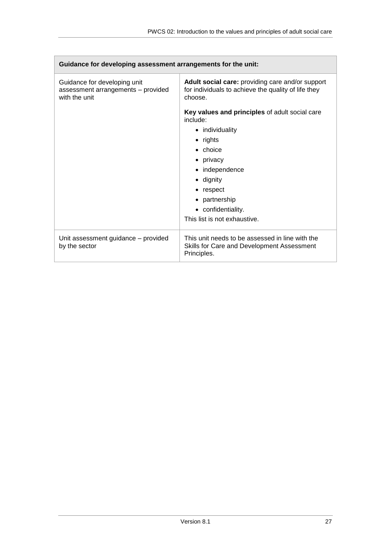| Guidance for developing assessment arrangements for the unit:                       |                                                                                                                    |  |
|-------------------------------------------------------------------------------------|--------------------------------------------------------------------------------------------------------------------|--|
| Guidance for developing unit<br>assessment arrangements - provided<br>with the unit | Adult social care: providing care and/or support<br>for individuals to achieve the quality of life they<br>choose. |  |
|                                                                                     | Key values and principles of adult social care<br>include:                                                         |  |
|                                                                                     | • individuality                                                                                                    |  |
|                                                                                     | $\bullet$ rights                                                                                                   |  |
|                                                                                     | $\bullet$ choice                                                                                                   |  |
|                                                                                     | • privacy                                                                                                          |  |
|                                                                                     | • independence                                                                                                     |  |
|                                                                                     | • dignity                                                                                                          |  |
|                                                                                     | • respect                                                                                                          |  |
|                                                                                     | • partnership                                                                                                      |  |
|                                                                                     | • confidentiality.                                                                                                 |  |
|                                                                                     | This list is not exhaustive.                                                                                       |  |
| Unit assessment guidance - provided<br>by the sector                                | This unit needs to be assessed in line with the<br>Skills for Care and Development Assessment<br>Principles.       |  |

 $\sqrt{2}$ 

Ξ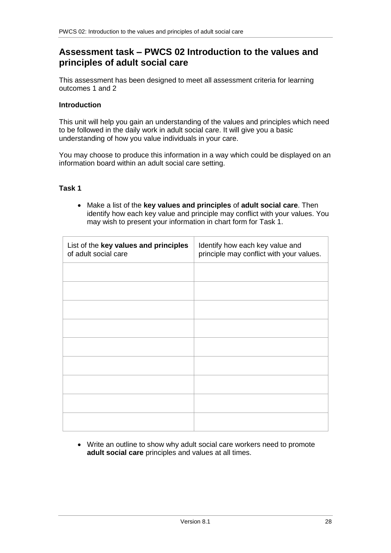## **Assessment task – PWCS 02 Introduction to the values and principles of adult social care**

This assessment has been designed to meet all assessment criteria for learning outcomes 1 and 2

#### **Introduction**

This unit will help you gain an understanding of the values and principles which need to be followed in the daily work in adult social care. It will give you a basic understanding of how you value individuals in your care.

You may choose to produce this information in a way which could be displayed on an information board within an adult social care setting.

#### **Task 1**

 Make a list of the **key values and principles** of **adult social care**. Then identify how each key value and principle may conflict with your values. You may wish to present your information in chart form for Task 1.

| List of the key values and principles<br>of adult social care | Identify how each key value and<br>principle may conflict with your values. |
|---------------------------------------------------------------|-----------------------------------------------------------------------------|
|                                                               |                                                                             |
|                                                               |                                                                             |
|                                                               |                                                                             |
|                                                               |                                                                             |
|                                                               |                                                                             |
|                                                               |                                                                             |
|                                                               |                                                                             |
|                                                               |                                                                             |
|                                                               |                                                                             |

 Write an outline to show why adult social care workers need to promote **adult social care** principles and values at all times.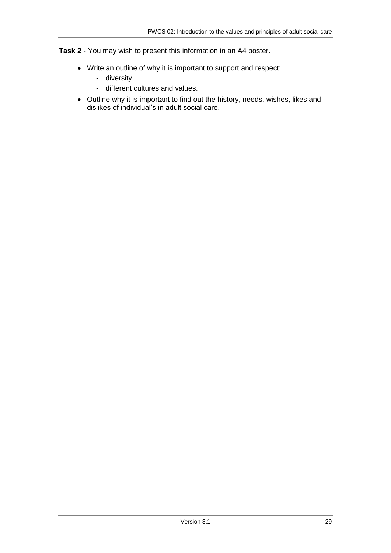**Task 2** - You may wish to present this information in an A4 poster.

- Write an outline of why it is important to support and respect:
	- diversity
	- different cultures and values.
- Outline why it is important to find out the history, needs, wishes, likes and dislikes of individual's in adult social care.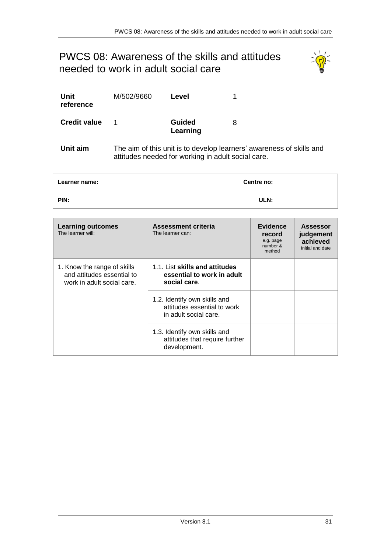# <span id="page-30-1"></span><span id="page-30-0"></span>PWCS 08: Awareness of the skills and attitudes needed to work in adult social care



| Unit<br>reference      | M/502/9660 | Level                     |                                                                 |
|------------------------|------------|---------------------------|-----------------------------------------------------------------|
| <b>Credit value</b>    | 1          | <b>Guided</b><br>Learning | 8                                                               |
| <b>The State State</b> |            |                           | The souther of this could be the decombed because and concerned |

**Unit aim** The aim of this unit is to develop learners' awareness of skills and attitudes needed for working in adult social care.

| Learner name: | Centre no: |
|---------------|------------|
| PIN:          | ULN:       |

| <b>Learning outcomes</b><br>The learner will:                                           | Assessment criteria<br>The learner can:                                              | Evidence<br>record<br>e.g. page<br>number &<br>method | <b>Assessor</b><br>judgement<br>achieved<br>Initial and date |
|-----------------------------------------------------------------------------------------|--------------------------------------------------------------------------------------|-------------------------------------------------------|--------------------------------------------------------------|
| 1. Know the range of skills<br>and attitudes essential to<br>work in adult social care. | 1.1. List skills and attitudes<br>essential to work in adult<br>social care.         |                                                       |                                                              |
|                                                                                         | 1.2. Identify own skills and<br>attitudes essential to work<br>in adult social care. |                                                       |                                                              |
|                                                                                         | 1.3. Identify own skills and<br>attitudes that require further<br>development.       |                                                       |                                                              |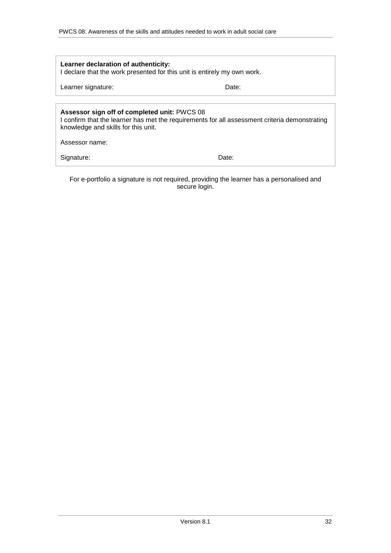| Learner declaration of authenticity:<br>I declare that the work presented for this unit is entirely my own work.                                                                     |       |  |
|--------------------------------------------------------------------------------------------------------------------------------------------------------------------------------------|-------|--|
| Learner signature:<br>Date:                                                                                                                                                          |       |  |
|                                                                                                                                                                                      |       |  |
| Assessor sign off of completed unit: PWCS 08<br>I confirm that the learner has met the requirements for all assessment criteria demonstrating<br>knowledge and skills for this unit. |       |  |
| Assessor name:                                                                                                                                                                       |       |  |
| Signature:                                                                                                                                                                           | Date: |  |

For e-portfolio a signature is not required, providing the learner has a personalised and secure login.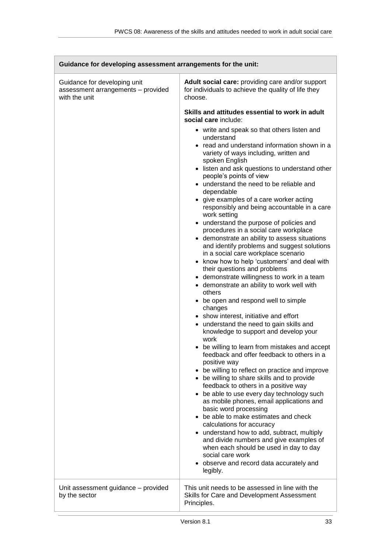$\sqrt{2}$ 

| Guidance for developing assessment arrangements for the unit:                       |                                                                                                                                                                                                                                                                                                                                                                                                                                                                                                                                                                                                                                                                                                                                                                                                                                                                                                                                                                                                                                                                                                                                                                                                                        |  |
|-------------------------------------------------------------------------------------|------------------------------------------------------------------------------------------------------------------------------------------------------------------------------------------------------------------------------------------------------------------------------------------------------------------------------------------------------------------------------------------------------------------------------------------------------------------------------------------------------------------------------------------------------------------------------------------------------------------------------------------------------------------------------------------------------------------------------------------------------------------------------------------------------------------------------------------------------------------------------------------------------------------------------------------------------------------------------------------------------------------------------------------------------------------------------------------------------------------------------------------------------------------------------------------------------------------------|--|
| Guidance for developing unit<br>assessment arrangements - provided<br>with the unit | Adult social care: providing care and/or support<br>for individuals to achieve the quality of life they<br>choose.<br>Skills and attitudes essential to work in adult<br>social care include:<br>• write and speak so that others listen and<br>understand<br>• read and understand information shown in a<br>variety of ways including, written and<br>spoken English<br>• listen and ask questions to understand other<br>people's points of view<br>• understand the need to be reliable and<br>dependable<br>• give examples of a care worker acting<br>responsibly and being accountable in a care<br>work setting<br>• understand the purpose of policies and                                                                                                                                                                                                                                                                                                                                                                                                                                                                                                                                                    |  |
|                                                                                     | procedures in a social care workplace<br>• demonstrate an ability to assess situations<br>and identify problems and suggest solutions<br>in a social care workplace scenario<br>know how to help 'customers' and deal with<br>their questions and problems<br>demonstrate willingness to work in a team<br>• demonstrate an ability to work well with<br>others<br>be open and respond well to simple<br>changes<br>• show interest, initiative and effort<br>• understand the need to gain skills and<br>knowledge to support and develop your<br>work<br>be willing to learn from mistakes and accept<br>feedback and offer feedback to others in a<br>positive way<br>• be willing to reflect on practice and improve<br>• be willing to share skills and to provide<br>feedback to others in a positive way<br>• be able to use every day technology such<br>as mobile phones, email applications and<br>basic word processing<br>• be able to make estimates and check<br>calculations for accuracy<br>• understand how to add, subtract, multiply<br>and divide numbers and give examples of<br>when each should be used in day to day<br>social care work<br>observe and record data accurately and<br>legibly. |  |
| Unit assessment guidance - provided<br>by the sector                                | This unit needs to be assessed in line with the<br>Skills for Care and Development Assessment<br>Principles.                                                                                                                                                                                                                                                                                                                                                                                                                                                                                                                                                                                                                                                                                                                                                                                                                                                                                                                                                                                                                                                                                                           |  |

Ξ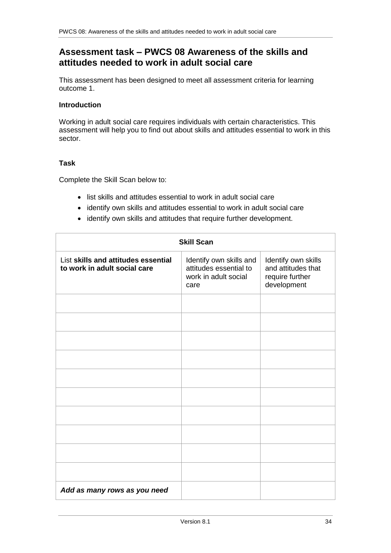## **Assessment task – PWCS 08 Awareness of the skills and attitudes needed to work in adult social care**

This assessment has been designed to meet all assessment criteria for learning outcome 1.

## **Introduction**

Working in adult social care requires individuals with certain characteristics. This assessment will help you to find out about skills and attitudes essential to work in this sector.

#### **Task**

Complete the Skill Scan below to:

- list skills and attitudes essential to work in adult social care
- identify own skills and attitudes essential to work in adult social care
- identify own skills and attitudes that require further development.

| <b>Skill Scan</b>                                                   |                                                                                   |                                                                             |
|---------------------------------------------------------------------|-----------------------------------------------------------------------------------|-----------------------------------------------------------------------------|
| List skills and attitudes essential<br>to work in adult social care | Identify own skills and<br>attitudes essential to<br>work in adult social<br>care | Identify own skills<br>and attitudes that<br>require further<br>development |
|                                                                     |                                                                                   |                                                                             |
|                                                                     |                                                                                   |                                                                             |
|                                                                     |                                                                                   |                                                                             |
|                                                                     |                                                                                   |                                                                             |
|                                                                     |                                                                                   |                                                                             |
|                                                                     |                                                                                   |                                                                             |
|                                                                     |                                                                                   |                                                                             |
|                                                                     |                                                                                   |                                                                             |
|                                                                     |                                                                                   |                                                                             |
|                                                                     |                                                                                   |                                                                             |
| Add as many rows as you need                                        |                                                                                   |                                                                             |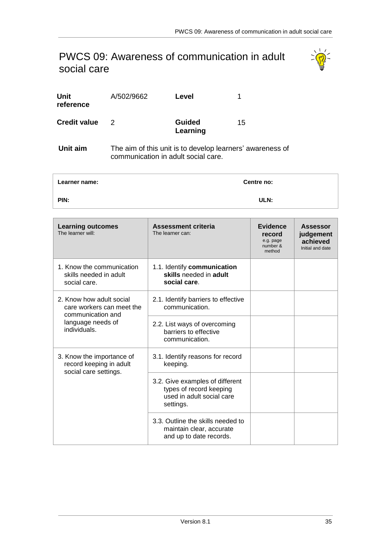## <span id="page-34-1"></span><span id="page-34-0"></span>PWCS 09: Awareness of communication in adult social care



| Unit<br>reference   | A/502/9662 | Level                                                     |    |
|---------------------|------------|-----------------------------------------------------------|----|
| <b>Credit value</b> | 2          | <b>Guided</b><br>Learning                                 | 15 |
| Unit aim            |            | The aim of this unit is to develop learners' awareness of |    |

communication in adult social care.

| Learner name: | <b>Centre no:</b> |
|---------------|-------------------|
| PIN:          | ULN:              |

| <b>Learning outcomes</b><br>The learner will:                                 | <b>Assessment criteria</b><br>The learner can:                                                       | <b>Evidence</b><br>record<br>e.g. page<br>number &<br>method | <b>Assessor</b><br>judgement<br>achieved<br>Initial and date |
|-------------------------------------------------------------------------------|------------------------------------------------------------------------------------------------------|--------------------------------------------------------------|--------------------------------------------------------------|
| 1. Know the communication<br>skills needed in adult<br>social care.           | 1.1. Identify communication<br>skills needed in adult<br>social care.                                |                                                              |                                                              |
| 2. Know how adult social<br>care workers can meet the<br>communication and    | 2.1. Identify barriers to effective<br>communication.                                                |                                                              |                                                              |
| language needs of<br>individuals.                                             | 2.2. List ways of overcoming<br>barriers to effective<br>communication.                              |                                                              |                                                              |
| 3. Know the importance of<br>record keeping in adult<br>social care settings. | 3.1. Identify reasons for record<br>keeping.                                                         |                                                              |                                                              |
|                                                                               | 3.2. Give examples of different<br>types of record keeping<br>used in adult social care<br>settings. |                                                              |                                                              |
|                                                                               | 3.3. Outline the skills needed to<br>maintain clear, accurate<br>and up to date records.             |                                                              |                                                              |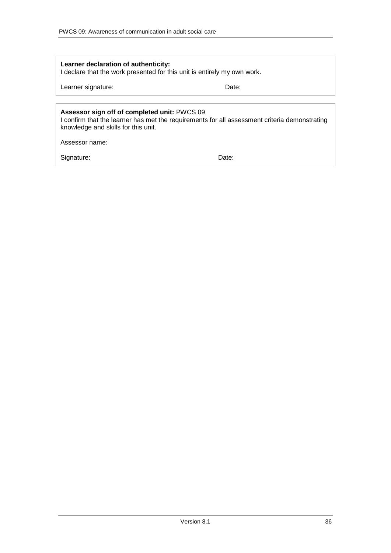| Learner declaration of authenticity:<br>I declare that the work presented for this unit is entirely my own work.                                                                                       |       |
|--------------------------------------------------------------------------------------------------------------------------------------------------------------------------------------------------------|-------|
| Learner signature:                                                                                                                                                                                     | Date: |
| Assessor sign off of completed unit: PWCS 09<br>I confirm that the learner has met the requirements for all assessment criteria demonstrating<br>knowledge and skills for this unit.<br>Assessor name: |       |
| Signature:                                                                                                                                                                                             | Date: |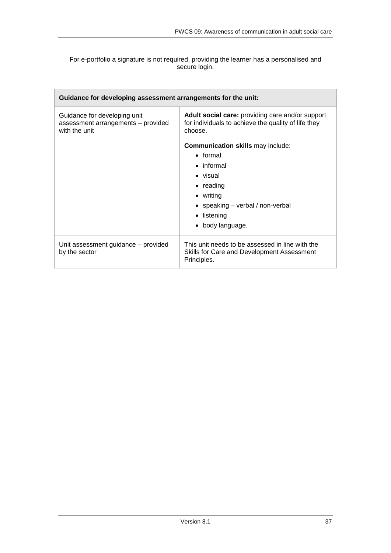### For e-portfolio a signature is not required, providing the learner has a personalised and secure login.

| Guidance for developing assessment arrangements for the unit:                       |                                                                                                                                                                                               |
|-------------------------------------------------------------------------------------|-----------------------------------------------------------------------------------------------------------------------------------------------------------------------------------------------|
| Guidance for developing unit<br>assessment arrangements - provided<br>with the unit | Adult social care: providing care and/or support<br>for individuals to achieve the quality of life they<br>choose.                                                                            |
|                                                                                     | <b>Communication skills may include:</b><br>$\bullet$ formal<br>$\bullet$ informal<br>• visual<br>$\bullet$ reading<br>$\bullet$ writing<br>• speaking $-$ verbal / non-verbal<br>• listening |
|                                                                                     | • body language.                                                                                                                                                                              |
| Unit assessment guidance – provided<br>by the sector                                | This unit needs to be assessed in line with the<br>Skills for Care and Development Assessment<br>Principles.                                                                                  |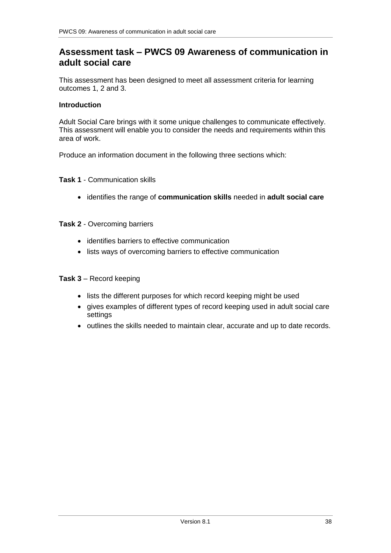## **Assessment task – PWCS 09 Awareness of communication in adult social care**

This assessment has been designed to meet all assessment criteria for learning outcomes 1, 2 and 3.

### **Introduction**

Adult Social Care brings with it some unique challenges to communicate effectively. This assessment will enable you to consider the needs and requirements within this area of work.

Produce an information document in the following three sections which:

### **Task 1** - Communication skills

identifies the range of **communication skills** needed in **adult social care**

### **Task 2** - Overcoming barriers

- identifies barriers to effective communication
- lists ways of overcoming barriers to effective communication

#### **Task 3** – Record keeping

- lists the different purposes for which record keeping might be used
- gives examples of different types of record keeping used in adult social care settings
- outlines the skills needed to maintain clear, accurate and up to date records.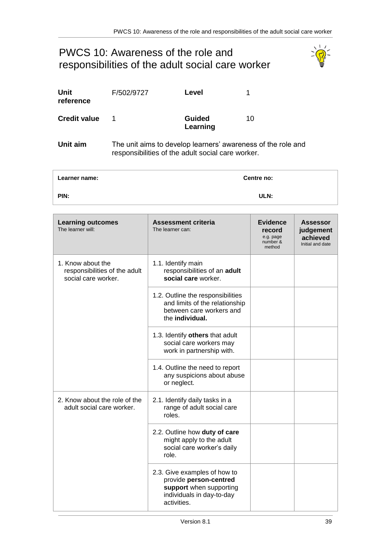## <span id="page-38-1"></span><span id="page-38-0"></span>PWCS 10: Awareness of the role and responsibilities of the adult social care worker



| Unit<br>reference   | F/502/9727 | Level                                                              |    |
|---------------------|------------|--------------------------------------------------------------------|----|
| <b>Credit value</b> |            | <b>Guided</b><br>Learning                                          | 10 |
| <b>Llait aims</b>   |            | The unit gime to develop learners' overconose of the $\frac{1}{2}$ |    |

**Unit aim** The unit aims to develop learners' awareness of the role and responsibilities of the adult social care worker.

| Learner name: | Centre no: |
|---------------|------------|
| PIN:          | ULN:       |

| <b>Learning outcomes</b><br>The learner will:                             | <b>Assessment criteria</b><br>The learner can:                                                                                | <b>Evidence</b><br>record<br>e.g. page<br>number &<br>method | <b>Assessor</b><br>judgement<br>achieved<br>Initial and date |
|---------------------------------------------------------------------------|-------------------------------------------------------------------------------------------------------------------------------|--------------------------------------------------------------|--------------------------------------------------------------|
| 1. Know about the<br>responsibilities of the adult<br>social care worker. | 1.1. Identify main<br>responsibilities of an adult<br>social care worker.                                                     |                                                              |                                                              |
|                                                                           | 1.2. Outline the responsibilities<br>and limits of the relationship<br>between care workers and<br>the individual.            |                                                              |                                                              |
|                                                                           | 1.3. Identify others that adult<br>social care workers may<br>work in partnership with.                                       |                                                              |                                                              |
|                                                                           | 1.4. Outline the need to report<br>any suspicions about abuse<br>or neglect.                                                  |                                                              |                                                              |
| 2. Know about the role of the<br>adult social care worker.                | 2.1. Identify daily tasks in a<br>range of adult social care<br>roles.                                                        |                                                              |                                                              |
|                                                                           | 2.2. Outline how duty of care<br>might apply to the adult<br>social care worker's daily<br>role.                              |                                                              |                                                              |
|                                                                           | 2.3. Give examples of how to<br>provide person-centred<br>support when supporting<br>individuals in day-to-day<br>activities. |                                                              |                                                              |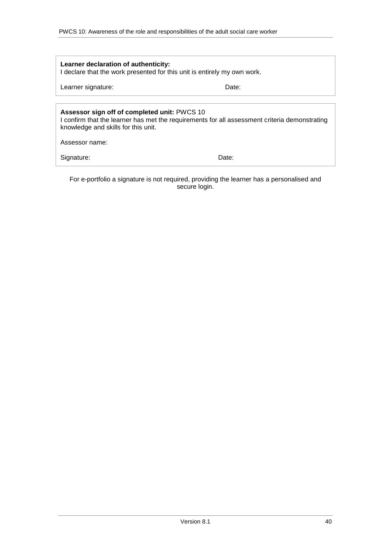| Learner declaration of authenticity:<br>I declare that the work presented for this unit is entirely my own work.                                                                     |       |
|--------------------------------------------------------------------------------------------------------------------------------------------------------------------------------------|-------|
| Learner signature:                                                                                                                                                                   | Date: |
|                                                                                                                                                                                      |       |
| Assessor sign off of completed unit: PWCS 10<br>I confirm that the learner has met the requirements for all assessment criteria demonstrating<br>knowledge and skills for this unit. |       |
| Assessor name:                                                                                                                                                                       |       |
| Signature:                                                                                                                                                                           | Date: |

For e-portfolio a signature is not required, providing the learner has a personalised and secure login.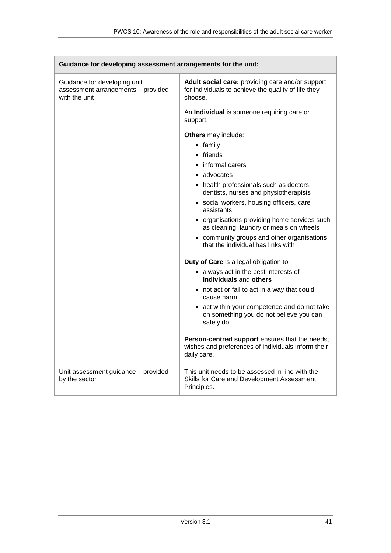| Guidance for developing assessment arrangements for the unit:                       |                                                                                                                     |
|-------------------------------------------------------------------------------------|---------------------------------------------------------------------------------------------------------------------|
| Guidance for developing unit<br>assessment arrangements - provided<br>with the unit | Adult social care: providing care and/or support<br>for individuals to achieve the quality of life they<br>choose.  |
|                                                                                     | An Individual is someone requiring care or<br>support.                                                              |
|                                                                                     | Others may include:                                                                                                 |
|                                                                                     | $\bullet$ family                                                                                                    |
|                                                                                     | • friends                                                                                                           |
|                                                                                     | informal carers                                                                                                     |
|                                                                                     | advocates<br>$\bullet$                                                                                              |
|                                                                                     | • health professionals such as doctors,<br>dentists, nurses and physiotherapists                                    |
|                                                                                     | • social workers, housing officers, care<br>assistants                                                              |
|                                                                                     | • organisations providing home services such<br>as cleaning, laundry or meals on wheels                             |
|                                                                                     | • community groups and other organisations<br>that the individual has links with                                    |
|                                                                                     | Duty of Care is a legal obligation to:                                                                              |
|                                                                                     | • always act in the best interests of<br>individuals and others                                                     |
|                                                                                     | • not act or fail to act in a way that could<br>cause harm                                                          |
|                                                                                     | • act within your competence and do not take<br>on something you do not believe you can<br>safely do.               |
|                                                                                     | Person-centred support ensures that the needs,<br>wishes and preferences of individuals inform their<br>daily care. |
| Unit assessment guidance - provided<br>by the sector                                | This unit needs to be assessed in line with the<br>Skills for Care and Development Assessment<br>Principles.        |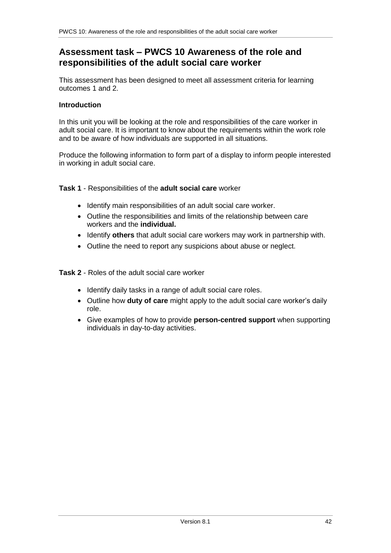## **Assessment task – PWCS 10 Awareness of the role and responsibilities of the adult social care worker**

This assessment has been designed to meet all assessment criteria for learning outcomes 1 and 2.

### **Introduction**

In this unit you will be looking at the role and responsibilities of the care worker in adult social care. It is important to know about the requirements within the work role and to be aware of how individuals are supported in all situations.

Produce the following information to form part of a display to inform people interested in working in adult social care.

### **Task 1** - Responsibilities of the **adult social care** worker

- Identify main responsibilities of an adult social care worker.
- Outline the responsibilities and limits of the relationship between care workers and the **individual.**
- Identify **others** that adult social care workers may work in partnership with.
- Outline the need to report any suspicions about abuse or neglect.

**Task 2** - Roles of the adult social care worker

- Identify daily tasks in a range of adult social care roles.
- Outline how **duty of care** might apply to the adult social care worker's daily role.
- Give examples of how to provide **person-centred support** when supporting individuals in day-to-day activities.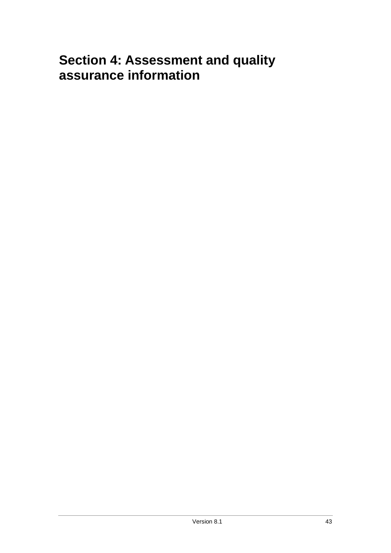# <span id="page-42-0"></span>**Section 4: Assessment and quality assurance information**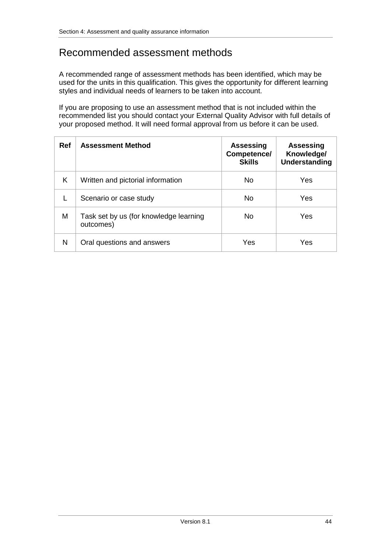## Recommended assessment methods

A recommended range of assessment methods has been identified, which may be used for the units in this qualification. This gives the opportunity for different learning styles and individual needs of learners to be taken into account.

If you are proposing to use an assessment method that is not included within the recommended list you should contact your External Quality Advisor with full details of your proposed method. It will need formal approval from us before it can be used.

| <b>Ref</b> | <b>Assessment Method</b>                            | <b>Assessing</b><br>Competence/<br><b>Skills</b> | <b>Assessing</b><br>Knowledge/<br><b>Understanding</b> |
|------------|-----------------------------------------------------|--------------------------------------------------|--------------------------------------------------------|
| K          | Written and pictorial information                   | No.                                              | Yes                                                    |
|            | Scenario or case study                              | No.                                              | Yes                                                    |
| M          | Task set by us (for knowledge learning<br>outcomes) | No.                                              | Yes                                                    |
| N          | Oral questions and answers                          | Yes                                              | Yes                                                    |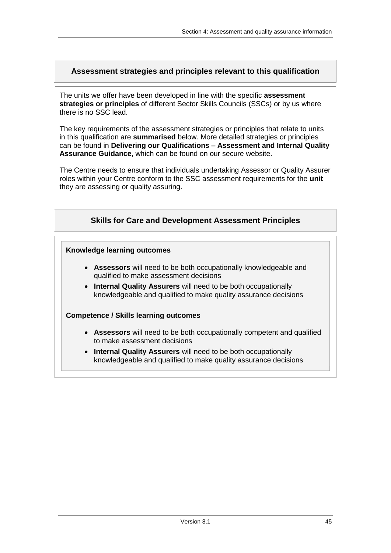## <span id="page-44-0"></span>**Assessment strategies and principles relevant to this qualification**

The units we offer have been developed in line with the specific **assessment strategies or principles** of different Sector Skills Councils (SSCs) or by us where there is no SSC lead.

The key requirements of the assessment strategies or principles that relate to units in this qualification are **summarised** below. More detailed strategies or principles can be found in **Delivering our Qualifications – Assessment and Internal Quality Assurance Guidance**, which can be found on our secure website.

The Centre needs to ensure that individuals undertaking Assessor or Quality Assurer roles within your Centre conform to the SSC assessment requirements for the **unit** they are assessing or quality assuring.

## <span id="page-44-1"></span>**Skills for Care and Development Assessment Principles**

#### **Knowledge learning outcomes**

- **Assessors** will need to be both occupationally knowledgeable and qualified to make assessment decisions
- **Internal Quality Assurers** will need to be both occupationally knowledgeable and qualified to make quality assurance decisions

#### **Competence / Skills learning outcomes**

- **Assessors** will need to be both occupationally competent and qualified to make assessment decisions
- **Internal Quality Assurers** will need to be both occupationally knowledgeable and qualified to make quality assurance decisions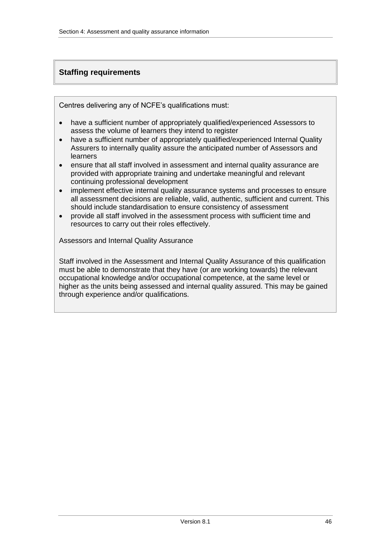## <span id="page-45-0"></span>**Staffing requirements**

Centres delivering any of NCFE's qualifications must:

- have a sufficient number of appropriately qualified/experienced Assessors to assess the volume of learners they intend to register
- have a sufficient number of appropriately qualified/experienced Internal Quality Assurers to internally quality assure the anticipated number of Assessors and learners
- ensure that all staff involved in assessment and internal quality assurance are provided with appropriate training and undertake meaningful and relevant continuing professional development
- implement effective internal quality assurance systems and processes to ensure all assessment decisions are reliable, valid, authentic, sufficient and current. This should include standardisation to ensure consistency of assessment
- provide all staff involved in the assessment process with sufficient time and resources to carry out their roles effectively.

<span id="page-45-1"></span>Assessors and Internal Quality Assurance

Staff involved in the Assessment and Internal Quality Assurance of this qualification must be able to demonstrate that they have (or are working towards) the relevant occupational knowledge and/or occupational competence, at the same level or higher as the units being assessed and internal quality assured. This may be gained through experience and/or qualifications.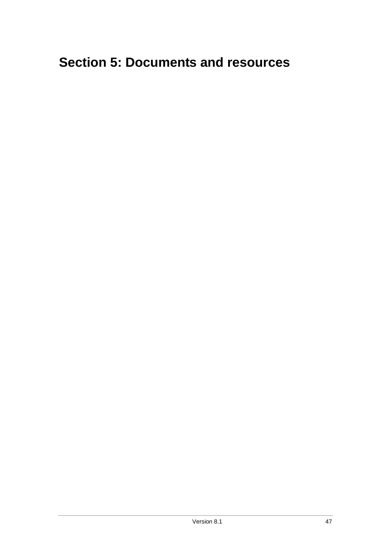# <span id="page-46-0"></span>**Section 5: Documents and resources**